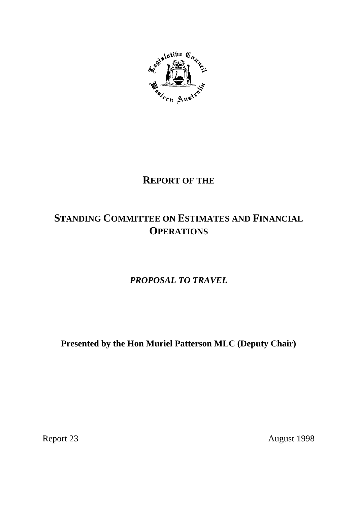

# **REPORT OF THE**

# **STANDING COMMITTEE ON ESTIMATES AND FINANCIAL OPERATIONS**

*PROPOSAL TO TRAVEL*

**Presented by the Hon Muriel Patterson MLC (Deputy Chair)**

Report 23 August 1998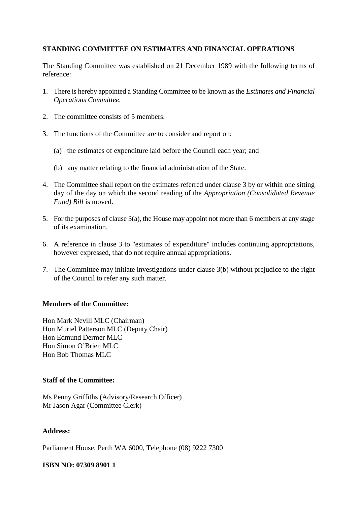## **STANDING COMMITTEE ON ESTIMATES AND FINANCIAL OPERATIONS**

The Standing Committee was established on 21 December 1989 with the following terms of reference:

- 1. There is hereby appointed a Standing Committee to be known as the *Estimates and Financial Operations Committee.*
- 2. The committee consists of 5 members.
- 3. The functions of the Committee are to consider and report on:
	- (a) the estimates of expenditure laid before the Council each year; and
	- (b) any matter relating to the financial administration of the State.
- 4. The Committee shall report on the estimates referred under clause 3 by or within one sitting day of the day on which the second reading of the *Appropriation (Consolidated Revenue Fund) Bill* is moved.
- 5. For the purposes of clause 3(a), the House may appoint not more than 6 members at any stage of its examination.
- 6. A reference in clause 3 to "estimates of expenditure" includes continuing appropriations, however expressed, that do not require annual appropriations.
- 7. The Committee may initiate investigations under clause 3(b) without prejudice to the right of the Council to refer any such matter.

#### **Members of the Committee:**

Hon Mark Nevill MLC (Chairman) Hon Muriel Patterson MLC (Deputy Chair) Hon Edmund Dermer MLC Hon Simon O'Brien MLC Hon Bob Thomas MLC

#### **Staff of the Committee:**

Ms Penny Griffiths (Advisory/Research Officer) Mr Jason Agar (Committee Clerk)

#### **Address:**

Parliament House, Perth WA 6000, Telephone (08) 9222 7300

#### **ISBN NO: 07309 8901 1**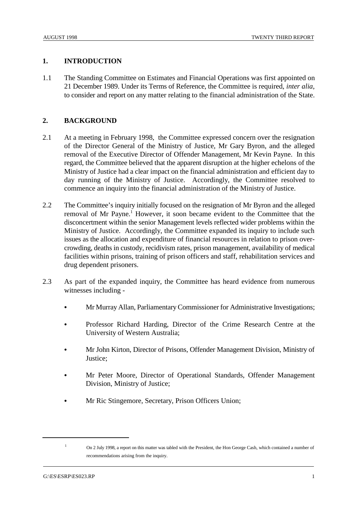### **1. INTRODUCTION**

1.1 The Standing Committee on Estimates and Financial Operations was first appointed on 21 December 1989. Under its Terms of Reference, the Committee is required, *inter alia*, to consider and report on any matter relating to the financial administration of the State.

## **2. BACKGROUND**

- 2.1 At a meeting in February 1998, the Committee expressed concern over the resignation of the Director General of the Ministry of Justice, Mr Gary Byron, and the alleged removal of the Executive Director of Offender Management, Mr Kevin Payne. In this regard, the Committee believed that the apparent disruption at the higher echelons of the Ministry of Justice had a clear impact on the financial administration and efficient day to day running of the Ministry of Justice. Accordingly, the Committee resolved to commence an inquiry into the financial administration of the Ministry of Justice.
- 2.2 The Committee's inquiry initially focused on the resignation of Mr Byron and the alleged removal of Mr Payne.<sup>1</sup> However, it soon became evident to the Committee that the disconcertment within the senior Management levels reflected wider problems within the Ministry of Justice. Accordingly, the Committee expanded its inquiry to include such issues as the allocation and expenditure of financial resources in relation to prison overcrowding, deaths in custody, recidivism rates, prison management, availability of medical facilities within prisons, training of prison officers and staff, rehabilitation services and drug dependent prisoners.
- 2.3 As part of the expanded inquiry, the Committee has heard evidence from numerous witnesses including -
	- & Mr Murray Allan, Parliamentary Commissioner for Administrative Investigations;
	- & Professor Richard Harding, Director of the Crime Research Centre at the University of Western Australia;
	- & Mr John Kirton, Director of Prisons, Offender Management Division, Ministry of Justice;
	- Mr Peter Moore, Director of Operational Standards, Offender Management Division, Ministry of Justice;
	- Mr Ric Stingemore, Secretary, Prison Officers Union;

<sup>&</sup>lt;sup>1</sup> On 2 July 1998, a report on this matter was tabled with the President, the Hon George Cash, which contained a number of recommendations arising from the inquiry.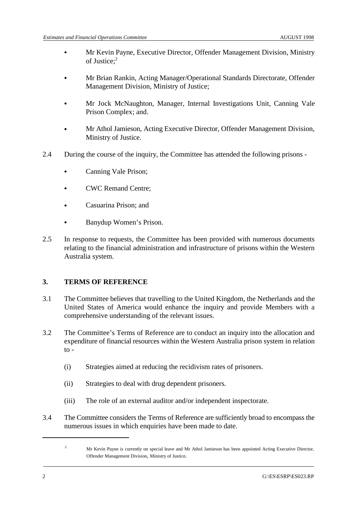- & Mr Kevin Payne, Executive Director, Offender Management Division, Ministry of Justice;2
- & Mr Brian Rankin, Acting Manager/Operational Standards Directorate, Offender Management Division, Ministry of Justice;
- & Mr Jock McNaughton, Manager, Internal Investigations Unit, Canning Vale Prison Complex; and.
- & Mr Athol Jamieson, Acting Executive Director, Offender Management Division, Ministry of Justice.
- 2.4 During the course of the inquiry, the Committee has attended the following prisons
	- Canning Vale Prison;
	- & CWC Remand Centre;
	- & Casuarina Prison; and
	- & Banydup Women's Prison.
- 2.5 In response to requests, the Committee has been provided with numerous documents relating to the financial administration and infrastructure of prisons within the Western Australia system.

## **3. TERMS OF REFERENCE**

- 3.1 The Committee believes that travelling to the United Kingdom, the Netherlands and the United States of America would enhance the inquiry and provide Members with a comprehensive understanding of the relevant issues.
- 3.2 The Committee's Terms of Reference are to conduct an inquiry into the allocation and expenditure of financial resources within the Western Australia prison system in relation  $to -$ 
	- (i) Strategies aimed at reducing the recidivism rates of prisoners.
	- (ii) Strategies to deal with drug dependent prisoners.
	- (iii) The role of an external auditor and/or independent inspectorate.
- 3.4 The Committee considers the Terms of Reference are sufficiently broad to encompass the numerous issues in which enquiries have been made to date.

<sup>&</sup>lt;sup>2</sup> Mr Kevin Payne is currently on special leave and Mr Athol Jamieson has been appointed Acting Executive Director, Offender Management Division, Ministry of Justice.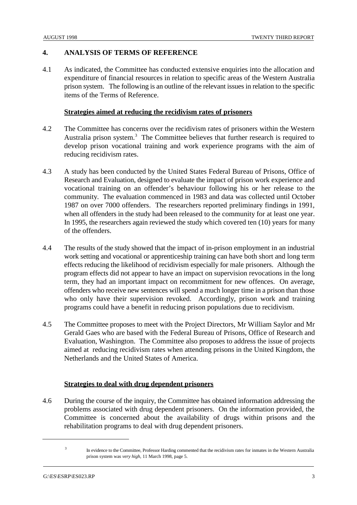### **4. ANALYSIS OF TERMS OF REFERENCE**

4.1 As indicated, the Committee has conducted extensive enquiries into the allocation and expenditure of financial resources in relation to specific areas of the Western Australia prison system. The following is an outline of the relevant issues in relation to the specific items of the Terms of Reference.

#### **Strategies aimed at reducing the recidivism rates of prisoners**

- 4.2 The Committee has concerns over the recidivism rates of prisoners within the Western Australia prison system. $3$  The Committee believes that further research is required to develop prison vocational training and work experience programs with the aim of reducing recidivism rates.
- 4.3 A study has been conducted by the United States Federal Bureau of Prisons, Office of Research and Evaluation, designed to evaluate the impact of prison work experience and vocational training on an offender's behaviour following his or her release to the community. The evaluation commenced in 1983 and data was collected until October 1987 on over 7000 offenders. The researchers reported preliminary findings in 1991, when all offenders in the study had been released to the community for at least one year. In 1995, the researchers again reviewed the study which covered ten (10) years for many of the offenders.
- 4.4 The results of the study showed that the impact of in-prison employment in an industrial work setting and vocational or apprenticeship training can have both short and long term effects reducing the likelihood of recidivism especially for male prisoners. Although the program effects did not appear to have an impact on supervision revocations in the long term, they had an important impact on recommitment for new offences. On average, offenders who receive new sentences will spend a much longer time in a prison than those who only have their supervision revoked. Accordingly, prison work and training programs could have a benefit in reducing prison populations due to recidivism.
- 4.5 The Committee proposes to meet with the Project Directors, Mr William Saylor and Mr Gerald Gaes who are based with the Federal Bureau of Prisons, Office of Research and Evaluation, Washington. The Committee also proposes to address the issue of projects aimed at reducing recidivism rates when attending prisons in the United Kingdom, the Netherlands and the United States of America.

#### **Strategies to deal with drug dependent prisoners**

4.6 During the course of the inquiry, the Committee has obtained information addressing the problems associated with drug dependent prisoners. On the information provided, the Committee is concerned about the availability of drugs within prisons and the rehabilitation programs to deal with drug dependent prisoners.

<sup>&</sup>lt;sup>3</sup> In evidence to the Committee, Professor Harding commented that the recidivism rates for inmates in the Western Australia prison system was *very high*, 11 March 1998, page 5.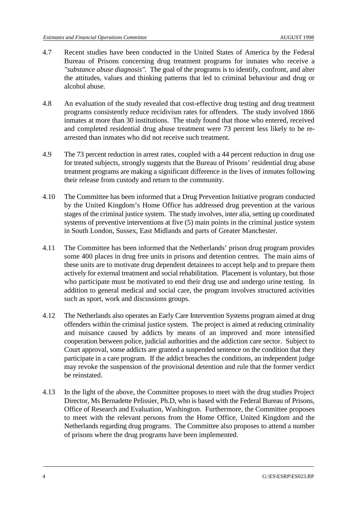- 4.7 Recent studies have been conducted in the United States of America by the Federal Bureau of Prisons concerning drug treatment programs for inmates who receive a *"substance abuse diagnosis".* The goal of the programs is to identify, confront, and alter the attitudes, values and thinking patterns that led to criminal behaviour and drug or alcohol abuse.
- 4.8 An evaluation of the study revealed that cost-effective drug testing and drug treatment programs consistently reduce recidivism rates for offenders. The study involved 1866 inmates at more than 30 institutions. The study found that those who entered, received and completed residential drug abuse treatment were 73 percent less likely to be rearrested than inmates who did not receive such treatment.
- 4.9 The 73 percent reduction in arrest rates, coupled with a 44 percent reduction in drug use for treated subjects, strongly suggests that the Bureau of Prisons' residential drug abuse treatment programs are making a significant difference in the lives of inmates following their release from custody and return to the community.
- 4.10 The Committee has been informed that a Drug Prevention Initiative program conducted by the United Kingdom's Home Office has addressed drug prevention at the various stages of the criminal justice system. The study involves, inter alia, setting up coordinated systems of preventive interventions at five (5) main points in the criminal justice system in South London, Sussex, East Midlands and parts of Greater Manchester.
- 4.11 The Committee has been informed that the Netherlands' prison drug program provides some 400 places in drug free units in prisons and detention centres. The main aims of these units are to motivate drug dependent detainees to accept help and to prepare them actively for external treatment and social rehabilitation. Placement is voluntary, but those who participate must be motivated to end their drug use and undergo urine testing. In addition to general medical and social care, the program involves structured activities such as sport, work and discussions groups.
- 4.12 The Netherlands also operates an Early Care Intervention Systems program aimed at drug offenders within the criminal justice system. The project is aimed at reducing criminality and nuisance caused by addicts by means of an improved and more intensified cooperation between police, judicial authorities and the addiction care sector. Subject to Court approval, some addicts are granted a suspended sentence on the condition that they participate in a care program. If the addict breaches the conditions, an independent judge may revoke the suspension of the provisional detention and rule that the former verdict be reinstated.
- 4.13 In the light of the above, the Committee proposes to meet with the drug studies Project Director, Ms Bernadette Pelissier, Ph.D, who is based with the Federal Bureau of Prisons, Office of Research and Evaluation, Washington. Furthermore, the Committee proposes to meet with the relevant persons from the Home Office, United Kingdom and the Netherlands regarding drug programs. The Committee also proposes to attend a number of prisons where the drug programs have been implemented.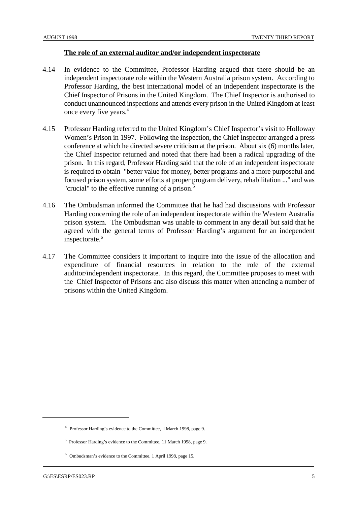#### **The role of an external auditor and/or independent inspectorate**

- 4.14 In evidence to the Committee, Professor Harding argued that there should be an independent inspectorate role within the Western Australia prison system. According to Professor Harding, the best international model of an independent inspectorate is the Chief Inspector of Prisons in the United Kingdom. The Chief Inspector is authorised to conduct unannounced inspections and attends every prison in the United Kingdom at least once every five years.4
- 4.15 Professor Harding referred to the United Kingdom's Chief Inspector's visit to Holloway Women's Prison in 1997. Following the inspection, the Chief Inspector arranged a press conference at which he directed severe criticism at the prison. About six (6) months later, the Chief Inspector returned and noted that there had been a radical upgrading of the prison. In this regard, Professor Harding said that the role of an independent inspectorate is required to obtain "better value for money, better programs and a more purposeful and focused prison system, some efforts at proper program delivery, rehabilitation ..." and was "crucial" to the effective running of a prison.<sup>5</sup>
- 4.16 The Ombudsman informed the Committee that he had had discussions with Professor Harding concerning the role of an independent inspectorate within the Western Australia prison system. The Ombudsman was unable to comment in any detail but said that he agreed with the general terms of Professor Harding's argument for an independent inspectorate.<sup>6</sup>
- 4.17 The Committee considers it important to inquire into the issue of the allocation and expenditure of financial resources in relation to the role of the external auditor/independent inspectorate. In this regard, the Committee proposes to meet with the Chief Inspector of Prisons and also discuss this matter when attending a number of prisons within the United Kingdom.

<sup>&</sup>lt;sup>4</sup> Professor Harding's evidence to the Committee, Il March 1998, page 9.

<sup>&</sup>lt;sup>5</sup> Professor Harding's evidence to the Committee, 11 March 1998, page 9.

 $6$  Ombudsman's evidence to the Committee, 1 April 1998, page 15.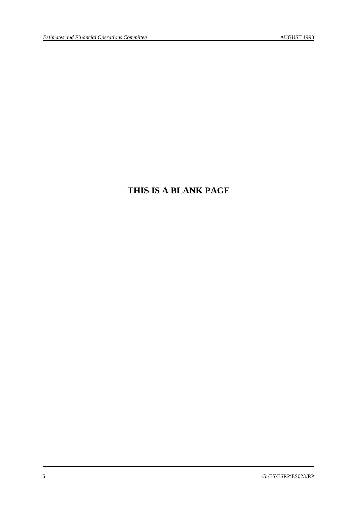# **THIS IS A BLANK PAGE**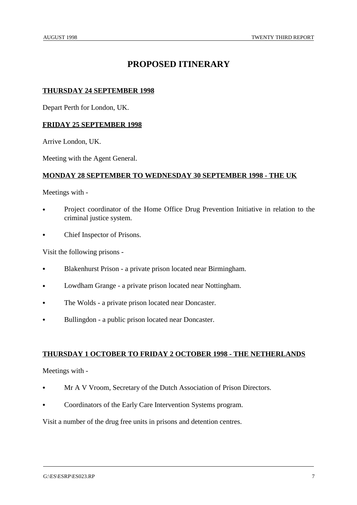# **PROPOSED ITINERARY**

### **THURSDAY 24 SEPTEMBER 1998**

Depart Perth for London, UK.

#### **FRIDAY 25 SEPTEMBER 1998**

Arrive London, UK.

Meeting with the Agent General.

#### **MONDAY 28 SEPTEMBER TO WEDNESDAY 30 SEPTEMBER 1998 - THE UK**

Meetings with -

- Project coordinator of the Home Office Drug Prevention Initiative in relation to the criminal justice system.
- Chief Inspector of Prisons.

Visit the following prisons -

- & Blakenhurst Prison a private prison located near Birmingham.
- Lowdham Grange a private prison located near Nottingham.
- The Wolds a private prison located near Doncaster.
- Bullingdon a public prison located near Doncaster.

#### **THURSDAY 1 OCTOBER TO FRIDAY 2 OCTOBER 1998 - THE NETHERLANDS**

Meetings with -

- Mr A V Vroom, Secretary of the Dutch Association of Prison Directors.
- Coordinators of the Early Care Intervention Systems program.

Visit a number of the drug free units in prisons and detention centres.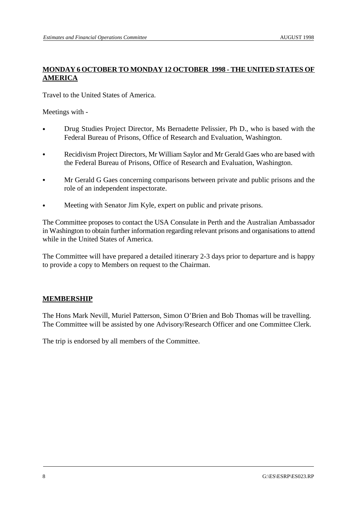# **MONDAY 6 OCTOBER TO MONDAY 12 OCTOBER 1998 - THE UNITED STATES OF AMERICA**

Travel to the United States of America.

Meetings with -

- Drug Studies Project Director, Ms Bernadette Pelissier, Ph D., who is based with the Federal Bureau of Prisons, Office of Research and Evaluation, Washington.
- Recidivism Project Directors, Mr William Saylor and Mr Gerald Gaes who are based with the Federal Bureau of Prisons, Office of Research and Evaluation, Washington.
- & Mr Gerald G Gaes concerning comparisons between private and public prisons and the role of an independent inspectorate.
- Meeting with Senator Jim Kyle, expert on public and private prisons.

The Committee proposes to contact the USA Consulate in Perth and the Australian Ambassador in Washington to obtain further information regarding relevant prisons and organisations to attend while in the United States of America.

The Committee will have prepared a detailed itinerary 2-3 days prior to departure and is happy to provide a copy to Members on request to the Chairman.

#### **MEMBERSHIP**

The Hons Mark Nevill, Muriel Patterson, Simon O'Brien and Bob Thomas will be travelling. The Committee will be assisted by one Advisory/Research Officer and one Committee Clerk.

The trip is endorsed by all members of the Committee.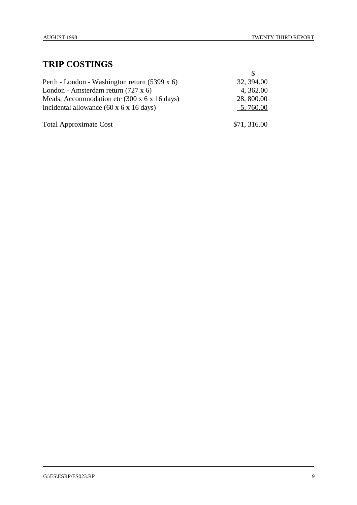# **TRIP COSTINGS**

| Perth - London - Washington return (5399 x 6)                    | 32, 394.00  |
|------------------------------------------------------------------|-------------|
| London - Amsterdam return (727 x 6)                              | 4, 362.00   |
| Meals, Accommodation etc $(300 \times 6 \times 16 \text{ days})$ | 28, 800.00  |
| Incidental allowance $(60 \times 6 \times 16 \text{ days})$      | 5,760.00    |
| <b>Total Approximate Cost</b>                                    | \$71,316.00 |